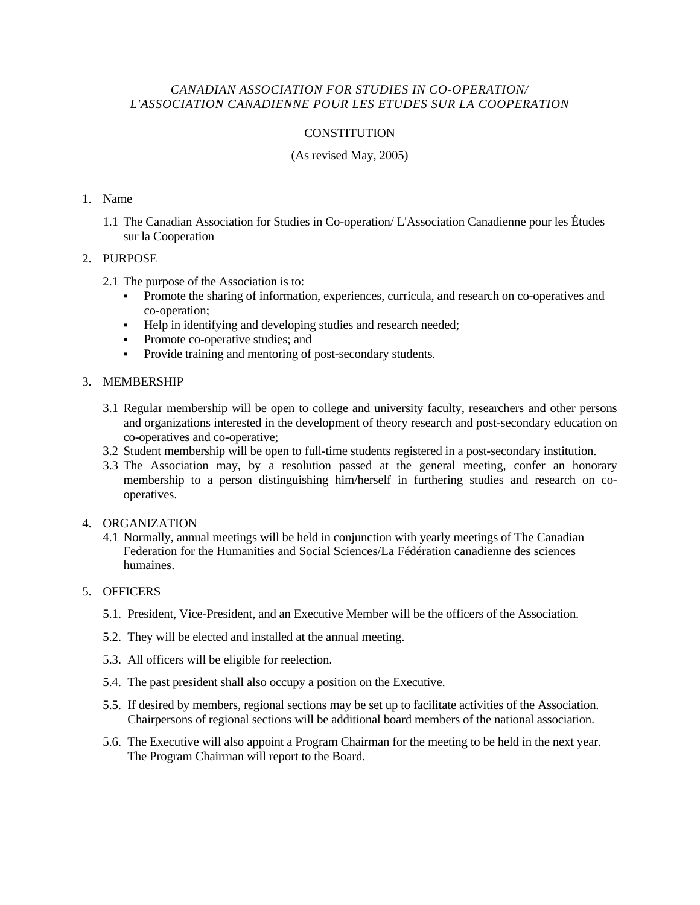# *CANADIAN ASSOCIATION FOR STUDIES IN CO-OPERATION/ L'ASSOCIATION CANADIENNE POUR LES ETUDES SUR LA COOPERATION*

# **CONSTITUTION**

## (As revised May, 2005)

#### 1. Name

1.1 The Canadian Association for Studies in Co-operation/ L'Association Canadienne pour les Études sur la Cooperation

#### 2. PURPOSE

- 2.1 The purpose of the Association is to:
	- Promote the sharing of information, experiences, curricula, and research on co-operatives and co-operation;
	- Help in identifying and developing studies and research needed;
	- Promote co-operative studies; and
	- Provide training and mentoring of post-secondary students.

#### 3. MEMBERSHIP

- 3.1 Regular membership will be open to college and university faculty, researchers and other persons and organizations interested in the development of theory research and post-secondary education on co-operatives and co-operative;
- 3.2 Student membership will be open to full-time students registered in a post-secondary institution.
- 3.3 The Association may, by a resolution passed at the general meeting, confer an honorary membership to a person distinguishing him/herself in furthering studies and research on cooperatives.

### 4. ORGANIZATION

4.1 Normally, annual meetings will be held in conjunction with yearly meetings of The Canadian Federation for the Humanities and Social Sciences/La Fédération canadienne des sciences humaines.

# 5. OFFICERS

- 5.1. President, Vice-President, and an Executive Member will be the officers of the Association.
- 5.2. They will be elected and installed at the annual meeting.
- 5.3. All officers will be eligible for reelection.
- 5.4. The past president shall also occupy a position on the Executive.
- 5.5. If desired by members, regional sections may be set up to facilitate activities of the Association. Chairpersons of regional sections will be additional board members of the national association.
- 5.6. The Executive will also appoint a Program Chairman for the meeting to be held in the next year. The Program Chairman will report to the Board.